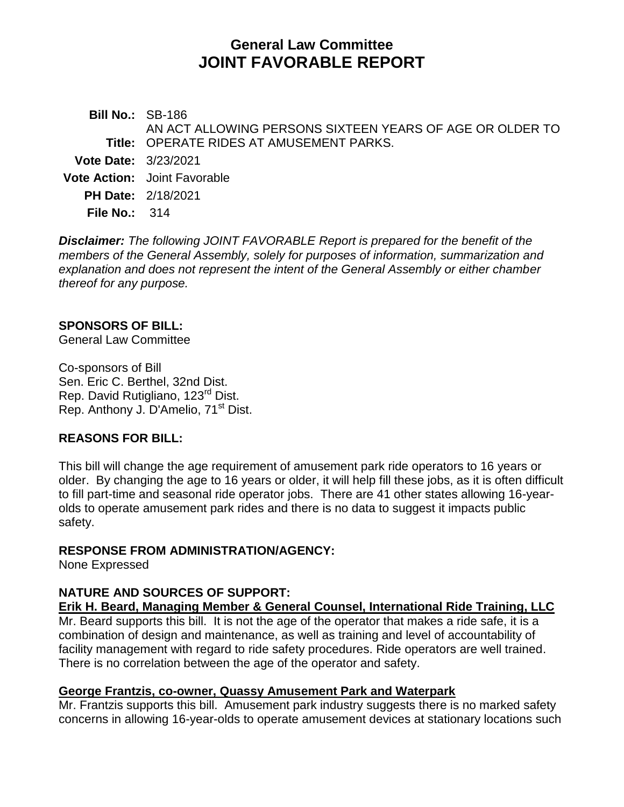# **General Law Committee JOINT FAVORABLE REPORT**

**Bill No.:** SB-186 **Title:** OPERATE RIDES AT AMUSEMENT PARKS. AN ACT ALLOWING PERSONS SIXTEEN YEARS OF AGE OR OLDER TO **Vote Date:** 3/23/2021 **Vote Action:** Joint Favorable **PH Date:** 2/18/2021 **File No.:** 314

*Disclaimer: The following JOINT FAVORABLE Report is prepared for the benefit of the members of the General Assembly, solely for purposes of information, summarization and explanation and does not represent the intent of the General Assembly or either chamber thereof for any purpose.*

#### **SPONSORS OF BILL:**

General Law Committee

Co-sponsors of Bill Sen. Eric C. Berthel, 32nd Dist. Rep. David Rutigliano, 123<sup>rd</sup> Dist. Rep. Anthony J. D'Amelio, 71<sup>st</sup> Dist.

#### **REASONS FOR BILL:**

This bill will change the age requirement of amusement park ride operators to 16 years or older. By changing the age to 16 years or older, it will help fill these jobs, as it is often difficult to fill part-time and seasonal ride operator jobs. There are 41 other states allowing 16-yearolds to operate amusement park rides and there is no data to suggest it impacts public safety.

#### **RESPONSE FROM ADMINISTRATION/AGENCY:**

None Expressed

## **NATURE AND SOURCES OF SUPPORT:**

**Erik H. Beard, Managing Member & General Counsel, International Ride Training, LLC** Mr. Beard supports this bill. It is not the age of the operator that makes a ride safe, it is a combination of design and maintenance, as well as training and level of accountability of facility management with regard to ride safety procedures. Ride operators are well trained. There is no correlation between the age of the operator and safety.

#### **George Frantzis, co-owner, Quassy Amusement Park and Waterpark**

Mr. Frantzis supports this bill. Amusement park industry suggests there is no marked safety concerns in allowing 16-year-olds to operate amusement devices at stationary locations such